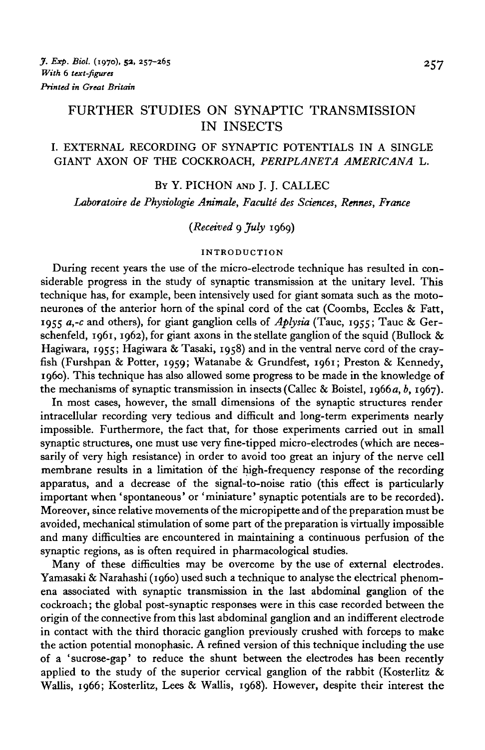# FURTHER STUDIES ON SYNAPTIC TRANSMISSION IN INSECTS

## I. EXTERNAL RECORDING OF SYNAPTIC POTENTIALS IN A SINGLE GIANT AXON OF THE COCKROACH, *PERIPLANETA AMERICANA* L.

### BY Y. PICHON AND I. I. CALLEC

Laboratoire de Physiologie Animale, Faculté des Sciences, Rennes, France

## *{Received* 9 *July* 1969)

## **INTRODUCTION**

During recent years the use of the micro-electrode technique has resulted in considerable progress in the study of synaptic transmission at the unitary level. This technique has, for example, been intensively used for giant somata such as the motoneurones of the anterior horn of the spinal cord of the cat (Coombs, Eccles & Fatt, 1955 *a,-c* and others), for giant ganglion cells of *Aplysia* (Tauc, 1955; Tauc & Gerschenfeld, 1961, 1962), for giant axons in the stellate ganglion of the squid (Bullock  $\&$ Hagiwara, 1955; Hagiwara & Tasaki, 1958) and in the ventral nerve cord of the crayfish (Furshpan & Potter, 1959; Watanabe & Grundfest, 1961; Preston & Kennedy, i960). This technique has also allowed some progress to be made in the knowledge of the mechanisms of synaptic transmission in insects (Callec & Boistel, 1966a, *b,* 1967).

In most cases, however, the small dimensions of the synaptic structures render intracellular recording very tedious and difficult and long-term experiments nearly impossible. Furthermore, the fact that, for those experiments carried out in small synaptic structures, one must use very fine-tipped micro-electrodes (which are necessarily of very high resistance) in order to avoid too great an injury of the nerve cell membrane results in a limitation of the high-frequency response of the recording apparatus, and a decrease of the signal-to-noise ratio (this effect is particularly important when 'spontaneous' or 'miniature' synaptic potentials are to be recorded). Moreover, since relative movements of the micropipette and of the preparation must be avoided, mechanical stimulation of some part of the preparation is virtually impossible and many difficulties are encountered in maintaining a continuous perfusion of the synaptic regions, as is often required in pharmacological studies.

Many of these difficulties may be overcome by the use of external electrodes. Yamasaki & Narahashi (1960) used such a technique to analyse the electrical phenomena associated with synaptic transmission in the last abdominal ganglion of the cockroach; the global post-synaptic responses were in this case recorded between the origin of the connective from this last abdominal ganglion and an indifferent electrode in contact with the third thoracic ganglion previously crushed with forceps to make the action potential monophasic. A refined version of this technique including the use of a 'sucrose-gap' to reduce the shunt between the electrodes has been recently applied to the study of the superior cervical ganglion of the rabbit (Kosterlitz  $\&$ Wallis, 1966; Kosterlitz, Lees & Wallis, 1968). However, despite their interest the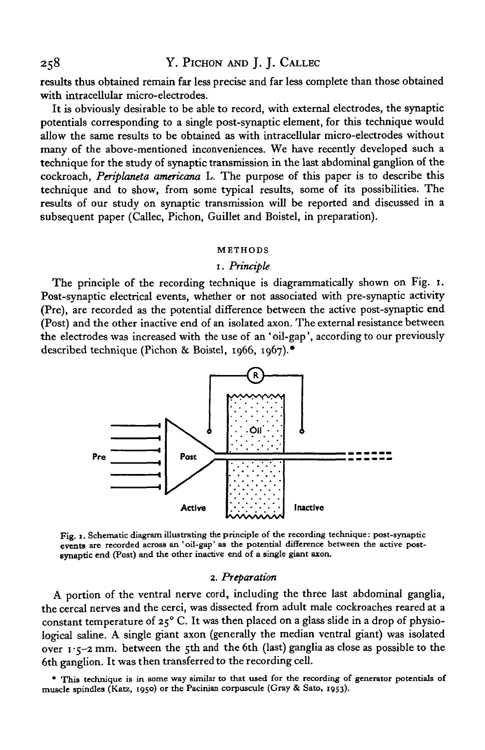results thus obtained remain far less precise and far less complete than those obtained with intracellular micro-electrodes.

It is obviously desirable to be able to record, with external electrodes, the synaptic potentials corresponding to a single post-synaptic element, for this technique would allow the same results to be obtained as with intracellular micro-electrodes without many of the above-mentioned inconveniences. We have recently developed such a technique for the study of synaptic transmission in the last abdominal ganglion of the cockroach, *Periplaneta americana* L. The purpose of this paper is to describe this technique and to show, from some typical results, some of its possibilities. The results of our study on synaptic transmission will be reported and discussed in a subsequent paper (Callec, Pichon, Guillet and Boistel, in preparation).

#### **METHODS**

### 1. *Principle*

The principle of the recording technique is diagrammatically shown on Fig. 1. Post-synaptic electrical events, whether or not associated with pre-synaptic activity (Pre), are recorded as the potential difference between the active post-synaptic end (Post) and the other inactive end of an isolated axon. The external resistance between the electrodes was increased with the use of an 'oil-gap', according to our previously described technique (Pichon & Boistel, 1966, 1967).\*



**Fig. 1. Schematic diagram illustrating the principle of the recording technique: post-synaptic events are recorded across an 'oil-gap' as the potential difference between the active postsynaptic end (Post) and the other inactive end of a single giant axon.**

#### 2. *Preparation*

A portion of the ventral nerve cord, including the three last abdominal ganglia, the cereal nerves and the cerci, was dissected from adult male cockroaches reared at a constant temperature of  $25^{\circ}$  C. It was then placed on a glass slide in a drop of physiological saline. A single giant axon (generally the median ventral giant) was isolated over  $1.5-2$  mm. between the 5th and the 6th (last) ganglia as close as possible to the 6th ganglion. It was then transferred to the recording cell.

**\* This technique is in some way similar to that used for the recording of generator potentials of muscle spindles (Katz, 1950) or the Pacinian corpuscule (Gray & Sato, 1953).**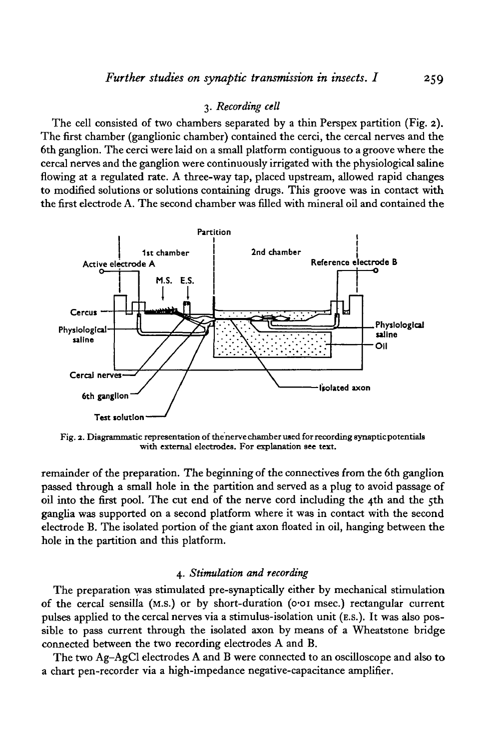## 3. *Recording cell*

The cell consisted of two chambers separated by a thin Perspex partition (Fig. 2). The first chamber (ganglionic chamber) contained the cerci, the cereal nerves and the 6th ganglion. The cerci were laid on a small platform contiguous to a groove where the cereal nerves and the ganglion were continuously irrigated with the physiological saline flowing at a regulated rate. A three-way tap, placed upstream, allowed rapid changes to modified solutions or solutions containing drugs. This groove was in contact with the first electrode A. The second chamber was filled with mineral oil and contained the



Fig. 2. Diagrammatic representation of the nerve chamber used for recording synaptic potentials with external electrodes. For explanation see text.

remainder of the preparation. The beginning of the connectives from the 6th ganglion passed through a small hole in the partition and served as a plug to avoid passage of oil into the first pool. The cut end of the nerve cord including the 4th and the 5th ganglia was supported on a second platform where it was in contact with the second electrode B. The isolated portion of the giant axon floated in oil, hanging between the hole in the partition and this platform.

### 4. *Stimulation and recording*

The preparation was stimulated pre-synaptically either by mechanical stimulation of the cereal sensilla (M.S.) or by short-duration (o\*oi msec.) rectangular current pulses applied to the cereal nerves via a stimulus-isolation unit (E.S.). It was also possible to pass current through the isolated axon by means of a Wheatstone bridge connected between the two recording electrodes A and B.

The two Ag-AgCl electrodes A and B were connected to an oscilloscope and also to a chart pen-recorder via a high-impedance negative-capacitance amplifier.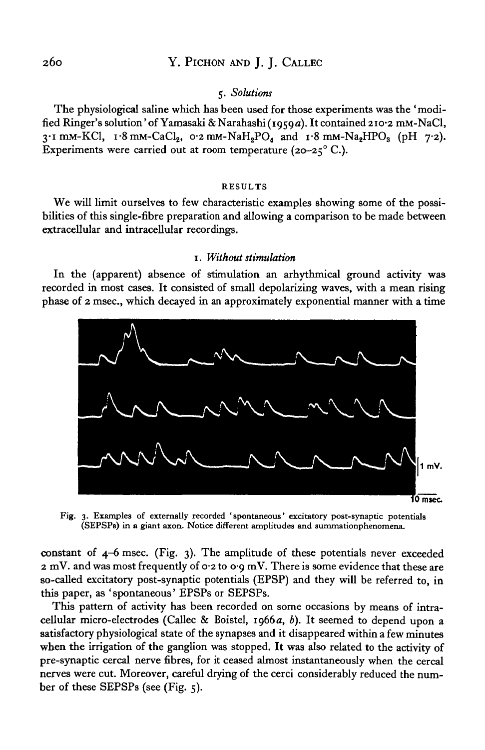## 260 Y. PlCHON AND J. J. CALLEC

## 5. *Solutions*

The physiological saline which has been used for those experiments was the ' modified Ringer's solution' of Yamasaki &Narahashi (1959a). It contained 210-2 mM-NaCl,  $3.1$  mM-KCl,  $1.8$  mM-CaCl<sub>2</sub>,  $0.2$  mM-NaH<sub>2</sub>PO<sub>A</sub> and  $1.8$  mM-Na<sub>2</sub>HPO<sub>3</sub> (pH  $7.2$ ). Experiments were carried out at room temperature (20-25 $^{\circ}$  C.).

#### RESULTS

We will limit ourselves to few characteristic examples showing some of the possibilities of this single-fibre preparation and allowing a comparison to be made between extracellular and intracellular recordings.

### 1. *Without stimulation*

In the (apparent) absence of stimulation an arhythmical ground activity was recorded in most cases. It consisted of small depolarizing waves, with a mean rising phase of 2 msec, which decayed in an approximately exponential manner with a time



Fig. 3. Examples of externally recorded 'spontaneous' excitatory post-synaptic potentials (SEPSPs) in a giant axon. Notice different amplitudes and summationphenomena.

constant of 4-6 msec. (Fig. 3). The amplitude of these potentials never exceeded  $2 \text{ mV}$ . and was most frequently of 0.2 to 0.9 mV. There is some evidence that these are so-called excitatory post-synaptic potentials (EPSP) and they will be referred to, in this paper, as ' spontaneous' EPSPs or SEPSPs.

This pattern of activity has been recorded on some occasions by means of intracellular micro-electrodes (Callec & Boistel, 1966 a, *b).* It seemed to depend upon a satisfactory physiological state of the synapses and it disappeared within a few minutes when the irrigation of the ganglion was stopped. It was also related to the activity of pre-synaptic cereal nerve fibres, for it ceased almost instantaneously when the cereal nerves were cut. Moreover, careful drying of the cerci considerably reduced the number of these SEPSPs (see (Fig. 5).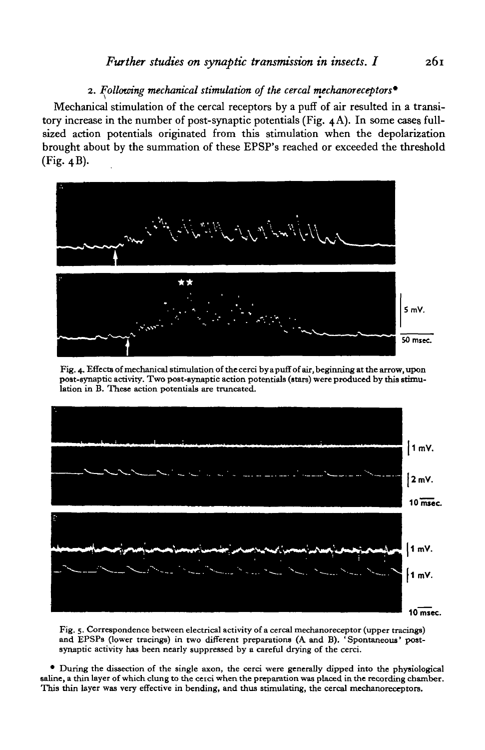## *Further studies on synoptic transmission in insects. I* 261

# 2. *Following mechanical stimulation of the cereal mechanoreceptors\**

Mechanical stimulation of the cereal receptors by a puff of air resulted in a transitory increase in the number of post-synaptic potentials (Fig. 4A). In some cases fullsized action potentials originated from this stimulation when the depolarization brought about by the summation of these EPSP's reached or exceeded the threshold (Fig. 4B).



Fig. 4. Effects of mechanical stimulation of the cerci by a puff of air, beginning at the arrow, upon post-synaptic activity. Two post-gynaptic action potentials (stars) were produced by this stimulation in B. These action potentials are truncated.



Fig. 5. Correspondence between electrical activity of a cercal mechanoreceptor (upper tracings) and EPSPs (lower tracings) in two different preparations (A and B). 'Spontaneous' post-synaptic activity has been nearly suppr

• During the dissection of the single axon, the cerci were generally dipped into the physiological saline, a thin layer of which clung to the cerci when the preparation was placed in the recording chamber.<br>This thin layer was very effective in bending, and thus stimulating, the cercal mechanoreceptors.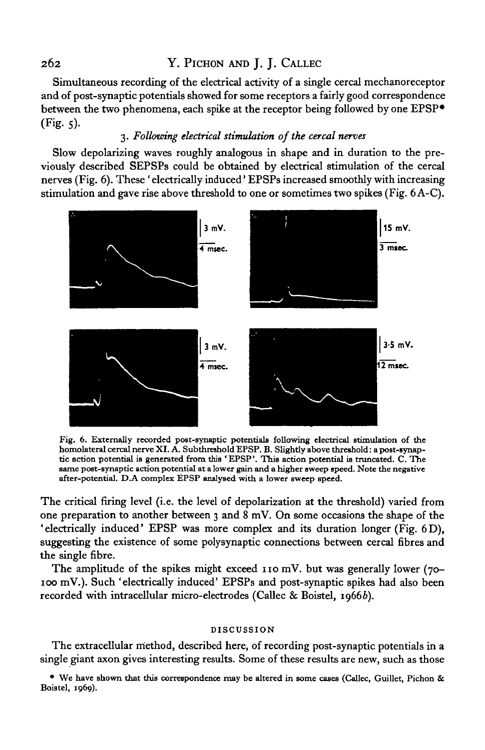# 262 Y. PlCHON AND J. J. CALLEC

Simultaneous recording of the electrical activity of a single cereal mechanoreceptor and of post-synaptic potentials showed for some receptors a fairly good correspondence between the two phenomena, each spike at the receptor being followed by one EPSP\*  $(Fig. 5).$ 

## 3. *Following electrical stimulation of the cereal nerves*

Slow depolarizing waves roughly analogous in shape and in duration to the previously described SEPSPs could be obtained by electrical stimulation of the cereal nerves (Fig. 6). These 'electrically induced' EPSPs increased smoothly with increasing stimulation and gave rise above threshold to one or sometimes two spikes (Fig. 6 A-C).



Fig. 6. Externally recorded post-synaptic potentials following electrical stimulation of the homolateral cercal nerve XI. A. Subthreshold EPSP. B. Slightly above threshold: a post-synaptic action potential is generated fro

The critical firing level (i.e. the level of depolarization at the threshold) varied from one preparation to another between 3 and 8 mV. On some occasions the shape of the 'electrically induced' EPSP was more complex and its duration longer (Fig. 6D), suggesting the existence of some polysynaptic connections between cereal fibres and the single fibre.

The amplitude of the spikes might exceed 110 mV. but was generally lower (70-100 mV.). Such 'electrically induced' EPSPs and post-synaptic spikes had also been recorded with intracellular micro-electrodes (Callec & Boistel, 19666).

### **DISCUSSION**

The extracellular method, described here, of recording post-synaptic potentials in a single giant axon gives interesting results. Some of these results are new, such as those

**• We have shown that this correspondence may be altered in some cases (Callec, Guillet, Pichon & Boistel, 1969).**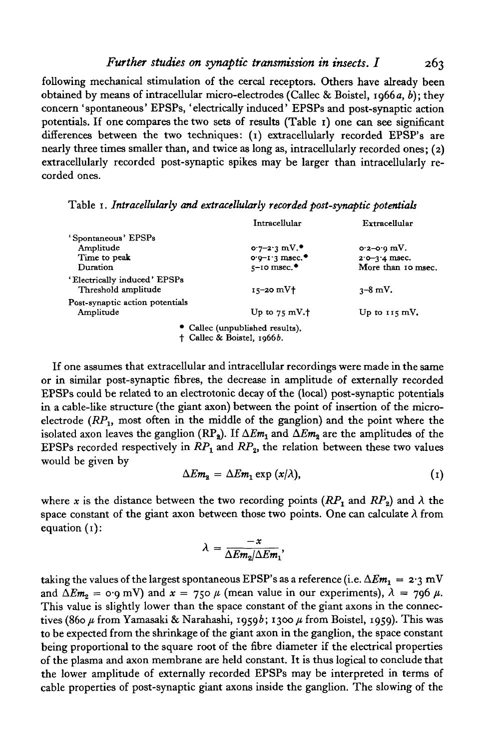*Further studies on synoptic transmission in insects. I* 263

following mechanical stimulation of the cercal receptors. Others have already been obtained by means of intracellular micro-electrodes (Callec & Boistel, 1966a, *b);* they concern 'spontaneous' EPSPs, 'electrically induced' EPSPs and post-synaptic action potentials. If one compares the two sets of results (Table 1) one can see significant differences between the two techniques: (1) extracellularly recorded EPSP's are nearly three times smaller than, and twice as long as, intracellularly recorded ones; (2) extracellularly recorded post-synaptic spikes may be larger than intracellularly recorded ones.

Table 1. *Intracellularly and extracellularly recorded post-synaptic potentials*

|                                                     | Intracellular                                           | Extracellular      |
|-----------------------------------------------------|---------------------------------------------------------|--------------------|
| 'Spontaneous' EPSPs                                 |                                                         |                    |
| Amplitude                                           | $0.7 - 2.3$ mV.                                         | $o2-o9 mV.$        |
| Time to peak                                        | $o·0-1·3$ msec. <sup>*</sup>                            | $2.0 - 3.4$ msec.  |
| Duration                                            | $5-10$ msec. <sup><math>\bullet</math></sup>            | More than 10 msec. |
| 'Electrically induced' EPSPs<br>Threshold amplitude | $15-20$ mV $\dagger$                                    | $3 - 8$ mV.        |
| Post-synaptic action potentials                     |                                                         |                    |
| Amplitude                                           | Up to $75 \text{ mV}$ . <sup><math>\dagger</math></sup> | Up to $115$ mV.    |
|                                                     | • Callec (unpublished results),                         |                    |
|                                                     | <sup>†</sup> Callec & Boistel, 1966b.                   |                    |

If one assumes that extracellular and intracellular recordings were made in the same or in similar post-synaptic fibres, the decrease in amplitude of externally recorded EPSPs could be related to an electrotonic decay of the (local) post-synaptic potentials in a cable-like structure (the giant axon) between the point of insertion of the microelectrode  $(RP_1, \text{ most often in the middle of the ganglion)$  and the point where the isolated axon leaves the ganglion  $(RP_2)$ . If  $\Delta Em_1$  and  $\Delta Em_2$  are the amplitudes of the EPSPs recorded respectively in  $RP_1$  and  $RP_2$ , the relation between these two values would be given by

$$
\Delta Em_2 = \Delta Em_1 \exp{ (x/\lambda)}, \qquad (1)
$$

where x is the distance between the two recording points  $(RP_1$  and  $RP_2$ ) and  $\lambda$  the space constant of the giant axon between those two points. One can calculate  $\lambda$  from equation (1):

$$
\lambda = \frac{-x}{\Delta Em_2/\Delta Em_1},
$$

taking the values of the largest spontaneous EPSP's as a reference (i.e.  $\Delta Em_1 = 2.3 \text{ mV}$ and  $\Delta Em_2 = \text{O} \cdot \text{g mV}$  and  $x = 750 \mu$  (mean value in our experiments),  $\lambda = 796 \mu$ . This value is slightly lower than the space constant of the giant axons in the connectives (860  $\mu$  from Yamasaki & Narahashi, 1959*b*; 1300  $\mu$  from Boistel, 1959). This was to be expected from the shrinkage of the giant axon in the ganglion, the space constant being proportional to the square root of the fibre diameter if the electrical properties of the plasma and axon membrane are held constant. It is thus logical to conclude that the lower amplitude of externally recorded EPSPs may be interpreted in terms of cable properties of post-synaptic giant axons inside the ganglion. The slowing of the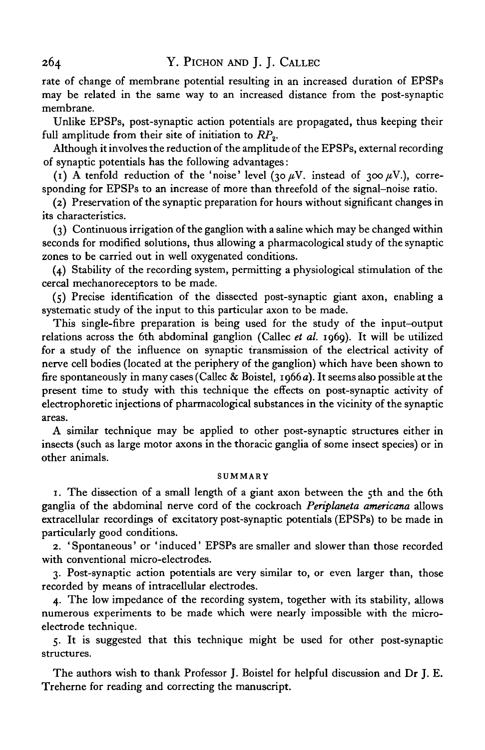rate of change of membrane potential resulting in an increased duration of EPSPs may be related in the same way to an increased distance from the post-synaptic membrane.

Unlike EPSPs, post-synaptic action potentials are propagated, thus keeping their full amplitude from their site of initiation to RP<sub>2</sub>.

Although it involves the reduction of the amplitude of the EPSPs, external recording of synaptic potentials has the following advantages:

(1) A tenfold reduction of the 'noise' level (30  $\mu$ V. instead of 300  $\mu$ V.), corresponding for EPSPs to an increase of more than threefold of the signal-noise ratio.

(2) Preservation of the synaptic preparation for hours without significant changes in its characteristics.

(3) Continuous irrigation of the ganglion with a saline which may be changed within seconds for modified solutions, thus allowing a pharmacological study of the synaptic zones to be carried out in well oxygenated conditions.

(4) Stability of the recording system, permitting a physiological stimulation of the cereal mechanoreceptors to be made.

(5) Precise identification of the dissected post-synaptic giant axon, enabling a systematic study of the input to this particular axon to be made.

This single-fibre preparation is being used for the study of the input-output relations across the 6th abdominal ganglion (Callec *et al.* 1969). It will be utilized for a study of the influence on synaptic transmission of the electrical activity of nerve cell bodies (located at the periphery of the ganglion) which have been shown to fire spontaneously in many cases (Callec & Boistel, 1966 a). It seems also possible at the present time to study with this technique the effects on post-synaptic activity of electrophoretic injections of pharmacological substances in the vicinity of the synaptic areas.

A similar technique may be applied to other post-synaptic structures either in insects (such as large motor axons in the thoracic ganglia of some insect species) or in other animals.

## **SUMMARY**

1. The dissection of a small length of a giant axon between the 5th and the 6th ganglia of the abdominal nerve cord of the cockroach *Periplaneta americana* allows extracellular recordings of excitatory post-synaptic potentials (EPSPs) to be made in particularly good conditions.

2. ' Spontaneous' or ' induced' EPSPs are smaller and slower than those recorded with conventional micro-electrodes.

3. Post-synaptic action potentials are very similar to, or even larger than, those recorded by means of intracellular electrodes.

4. The low impedance of the recording system, together with its stability, allows numerous experiments to be made which were nearly impossible with the microelectrode technique.

5. It is suggested that this technique might be used for other post-synaptic structures.

The authors wish to thank Professor J. Boistel for helpful discussion and Dr J. E. Treherne for reading and correcting the manuscript.